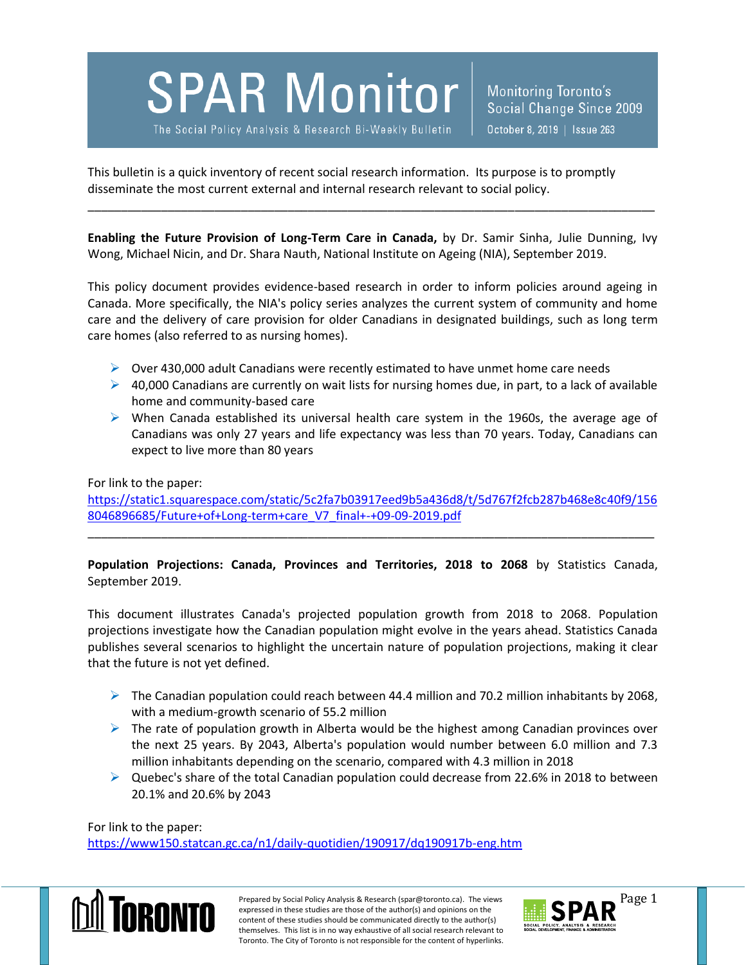**SPAR Monitor** 

The Social Policy Analysis & Research Bi-Weekly Bulletin

Monitoring Toronto's Social Change Since 2009 October 8, 2019 | Issue 263

This bulletin is a quick inventory of recent social research information. Its purpose is to promptly disseminate the most current external and internal research relevant to social policy.

**Enabling the Future Provision of Long-Term Care in Canada,** by Dr. Samir Sinha, Julie Dunning, Ivy Wong, Michael Nicin, and Dr. Shara Nauth, National Institute on Ageing (NIA), September 2019.

\_\_\_\_\_\_\_\_\_\_\_\_\_\_\_\_\_\_\_\_\_\_\_\_\_\_\_\_\_\_\_\_\_\_\_\_\_\_\_\_\_\_\_\_\_\_\_\_\_\_\_\_\_\_\_\_\_\_\_\_\_\_\_\_\_\_\_\_\_\_\_\_\_\_\_\_\_\_\_\_\_\_\_\_\_

This policy document provides evidence-based research in order to inform policies around ageing in Canada. More specifically, the NIA's policy series analyzes the current system of community and home care and the delivery of care provision for older Canadians in designated buildings, such as long term care homes (also referred to as nursing homes).

- $\triangleright$  Over 430,000 adult Canadians were recently estimated to have unmet home care needs
- $\triangleright$  40,000 Canadians are currently on wait lists for nursing homes due, in part, to a lack of available home and community-based care
- $\triangleright$  When Canada established its universal health care system in the 1960s, the average age of Canadians was only 27 years and life expectancy was less than 70 years. Today, Canadians can expect to live more than 80 years

## For link to the paper:

[https://static1.squarespace.com/static/5c2fa7b03917eed9b5a436d8/t/5d767f2fcb287b468e8c40f9/156](https://static1.squarespace.com/static/5c2fa7b03917eed9b5a436d8/t/5d767f2fcb287b468e8c40f9/1568046896685/Future+of+Long-term+care_V7_final+-+09-09-2019.pdf) [8046896685/Future+of+Long-term+care\\_V7\\_final+-+09-09-2019.pdf](https://static1.squarespace.com/static/5c2fa7b03917eed9b5a436d8/t/5d767f2fcb287b468e8c40f9/1568046896685/Future+of+Long-term+care_V7_final+-+09-09-2019.pdf)

\_\_\_\_\_\_\_\_\_\_\_\_\_\_\_\_\_\_\_\_\_\_\_\_\_\_\_\_\_\_\_\_\_\_\_\_\_\_\_\_\_\_\_\_\_\_\_\_\_\_\_\_\_\_\_\_\_\_\_\_\_\_\_\_\_\_\_\_\_\_\_\_\_\_\_\_\_\_\_\_\_\_\_\_\_

**Population Projections: Canada, Provinces and Territories, 2018 to 2068** by Statistics Canada, September 2019.

This document illustrates Canada's projected population growth from 2018 to 2068. Population projections investigate how the Canadian population might evolve in the years ahead. Statistics Canada publishes several scenarios to highlight the uncertain nature of population projections, making it clear that the future is not yet defined.

- The Canadian population could reach between 44.4 million and 70.2 million inhabitants by 2068, with a medium-growth scenario of 55.2 million
- $\triangleright$  The rate of population growth in Alberta would be the highest among Canadian provinces over the next 25 years. By 2043, Alberta's population would number between 6.0 million and 7.3 million inhabitants depending on the scenario, compared with 4.3 million in 2018
- $\triangleright$  Quebec's share of the total Canadian population could decrease from 22.6% in 2018 to between 20.1% and 20.6% by 2043

For link to the paper:

<https://www150.statcan.gc.ca/n1/daily-quotidien/190917/dq190917b-eng.htm>



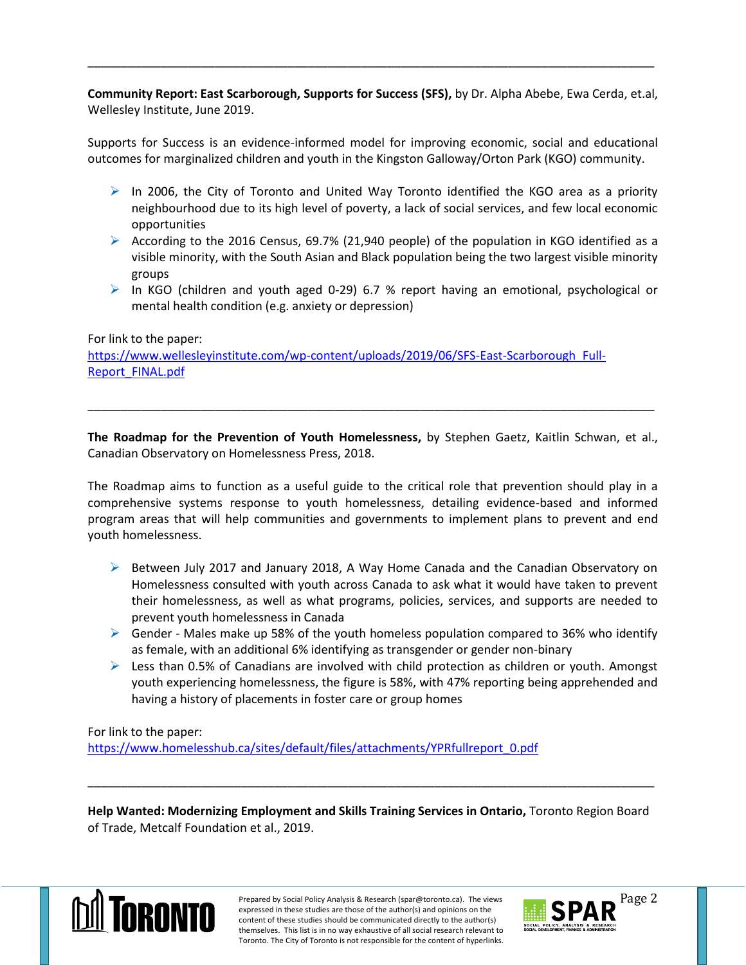**Community Report: East Scarborough, Supports for Success (SFS),** by Dr. Alpha Abebe, Ewa Cerda, et.al, Wellesley Institute, June 2019.

\_\_\_\_\_\_\_\_\_\_\_\_\_\_\_\_\_\_\_\_\_\_\_\_\_\_\_\_\_\_\_\_\_\_\_\_\_\_\_\_\_\_\_\_\_\_\_\_\_\_\_\_\_\_\_\_\_\_\_\_\_\_\_\_\_\_\_\_\_\_\_\_\_\_\_\_\_\_\_\_\_\_\_\_\_

Supports for Success is an evidence-informed model for improving economic, social and educational outcomes for marginalized children and youth in the Kingston Galloway/Orton Park (KGO) community.

- $\triangleright$  In 2006, the City of Toronto and United Way Toronto identified the KGO area as a priority neighbourhood due to its high level of poverty, a lack of social services, and few local economic opportunities
- According to the 2016 Census, 69.7% (21,940 people) of the population in KGO identified as a visible minority, with the South Asian and Black population being the two largest visible minority groups
- In KGO (children and youth aged 0-29) 6.7 % report having an emotional, psychological or mental health condition (e.g. anxiety or depression)

## For link to the paper:

[https://www.wellesleyinstitute.com/wp-content/uploads/2019/06/SFS-East-Scarborough\\_Full-](https://www.wellesleyinstitute.com/wp-content/uploads/2019/06/SFS-East-Scarborough_Full-Report_FINAL.pdf)[Report\\_FINAL.pdf](https://www.wellesleyinstitute.com/wp-content/uploads/2019/06/SFS-East-Scarborough_Full-Report_FINAL.pdf)

**The Roadmap for the Prevention of Youth Homelessness,** by Stephen Gaetz, Kaitlin Schwan, et al., Canadian Observatory on Homelessness Press, 2018.

\_\_\_\_\_\_\_\_\_\_\_\_\_\_\_\_\_\_\_\_\_\_\_\_\_\_\_\_\_\_\_\_\_\_\_\_\_\_\_\_\_\_\_\_\_\_\_\_\_\_\_\_\_\_\_\_\_\_\_\_\_\_\_\_\_\_\_\_\_\_\_\_\_\_\_\_\_\_\_\_\_\_\_\_\_

The Roadmap aims to function as a useful guide to the critical role that prevention should play in a comprehensive systems response to youth homelessness, detailing evidence-based and informed program areas that will help communities and governments to implement plans to prevent and end youth homelessness.

- $\triangleright$  Between July 2017 and January 2018, A Way Home Canada and the Canadian Observatory on Homelessness consulted with youth across Canada to ask what it would have taken to prevent their homelessness, as well as what programs, policies, services, and supports are needed to prevent youth homelessness in Canada
- $\triangleright$  Gender Males make up 58% of the youth homeless population compared to 36% who identify as female, with an additional 6% identifying as transgender or gender non-binary
- $\triangleright$  Less than 0.5% of Canadians are involved with child protection as children or youth. Amongst youth experiencing homelessness, the figure is 58%, with 47% reporting being apprehended and having a history of placements in foster care or group homes

## For link to the paper:

[https://www.homelesshub.ca/sites/default/files/attachments/YPRfullreport\\_0.pdf](https://www.homelesshub.ca/sites/default/files/attachments/YPRfullreport_0.pdf)

**Help Wanted: Modernizing Employment and Skills Training Services in Ontario,** Toronto Region Board of Trade, Metcalf Foundation et al., 2019.

\_\_\_\_\_\_\_\_\_\_\_\_\_\_\_\_\_\_\_\_\_\_\_\_\_\_\_\_\_\_\_\_\_\_\_\_\_\_\_\_\_\_\_\_\_\_\_\_\_\_\_\_\_\_\_\_\_\_\_\_\_\_\_\_\_\_\_\_\_\_\_\_\_\_\_\_\_\_\_\_\_\_\_\_\_